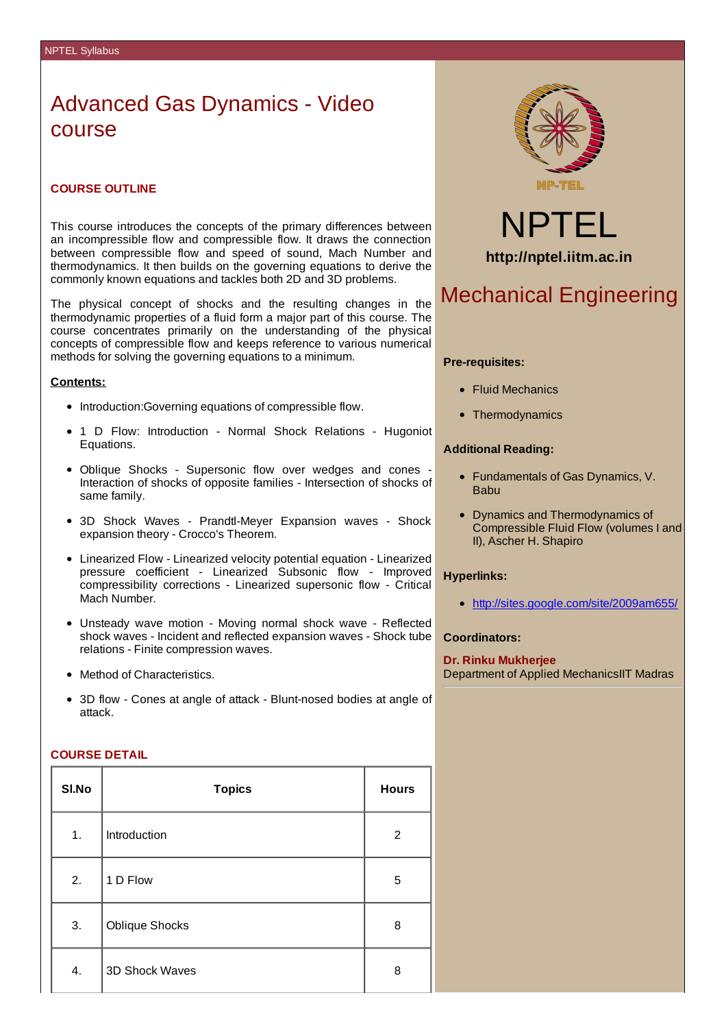# Advanced Gas Dynamics - Video course

### **COURSE OUTLINE**

This course introduces the concepts of the primary differences between an incompressible flow and compressible flow. It draws the connection between compressible flow and speed of sound, Mach Number and thermodynamics. It then builds on the governing equations to derive the commonly known equations and tackles both 2D and 3D problems.

The physical concept of shocks and the resulting changes in the thermodynamic properties of a fluid form a major part of this course. The course concentrates primarily on the understanding of the physical concepts of compressible flow and keeps reference to various numerical methods for solving the governing equations to a minimum.

### **Contents:**

- Introduction: Governing equations of compressible flow.
- 1 D Flow: Introduction Normal Shock Relations Hugoniot Equations.
- Oblique Shocks Supersonic flow over wedges and cones Interaction of shocks of opposite families - Intersection of shocks of same family.
- 3D Shock Waves Prandtl-Meyer Expansion waves Shock expansion theory - Crocco's Theorem.
- Linearized Flow Linearized velocity potential equation Linearized pressure coefficient - Linearized Subsonic flow - Improved compressibility corrections - Linearized supersonic flow - Critical Mach Number.
- Unsteady wave motion Moving normal shock wave Reflected shock waves - Incident and reflected expansion waves - Shock tube relations - Finite compression waves.
- Method of Characteristics.
- 3D flow Cones at angle of attack Blunt-nosed bodies at angle of attack.

### **COURSE DETAIL**

| SI.No | <b>Topics</b>  | <b>Hours</b> |
|-------|----------------|--------------|
| 1.    | Introduction   | 2            |
| 2.    | 1 D Flow       | 5            |
| 3.    | Oblique Shocks | 8            |
| 4.    | 3D Shock Waves | 8            |



NPTEL **http://nptel.iitm.ac.in**

## Mechanical Engineering

#### **Pre-requisites:**

- Fluid Mechanics
- Thermodynamics

### **Additional Reading:**

- Fundamentals of Gas Dynamics, V. Babu
- Dynamics and Thermodynamics of Compressible Fluid Flow (volumes I and II), Ascher H. Shapiro

### **Hyperlinks:**

http://sites.google.com/site/2009am655/

### **Coordinators:**

**Dr. Rinku Mukherjee** Department of Applied MechanicsIIT Madras